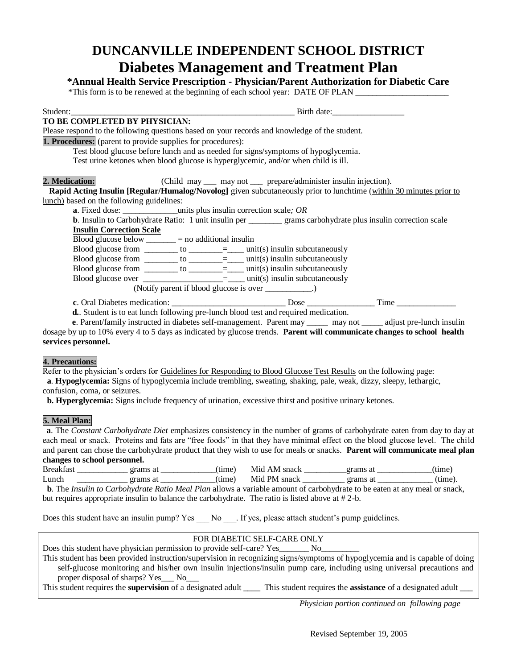# **DUNCANVILLE INDEPENDENT SCHOOL DISTRICT Diabetes Management and Treatment Plan**

**\*Annual Health Service Prescription - Physician/Parent Authorization for Diabetic Care**

|  | *This form is to be renewed at the beginning of each school year: DATE OF PLAN |  |
|--|--------------------------------------------------------------------------------|--|
|  |                                                                                |  |

Student: The student of the student of the student of the student of the student of the student of the student of the student of the student of the student of the student of the student of the student of the student of the

# **TO BE COMPLETED BY PHYSICIAN:**

Please respond to the following questions based on your records and knowledge of the student.

**1. Procedures:** (parent to provide supplies for procedures):

Test blood glucose before lunch and as needed for signs/symptoms of hypoglycemia.

Test urine ketones when blood glucose is hyperglycemic, and/or when child is ill.

## **2. Medication:** (Child may <u>example 2</u> may not <u>experience</u>/administer insulin injection).

 **Rapid Acting Insulin [Regular/Humalog/Novolog]** given subcutaneously prior to lunchtime (within 30 minutes prior to lunch) based on the following guidelines:

**a**. Fixed dose: \_\_\_\_\_\_\_\_\_\_\_\_\_units plus insulin correction scale*; OR*

| <b>b.</b> Insulin to Carbohydrate Ratio: 1 unit insulin per | grams carbohydrate plus insulin correction scale |  |
|-------------------------------------------------------------|--------------------------------------------------|--|
| <b>Insulin Correction Scale</b>                             |                                                  |  |
|                                                             |                                                  |  |

Blood glucose below \_\_\_\_\_\_\_ = no additional insulin

Blood glucose from  $\frac{\log n}{n}$  to  $\frac{\log n}{n}$  unit(s) insulin subcutaneously

Blood glucose from  $\_\_\_\_$  to  $\_\_\_\_\_\_\_\_\_\_\_\_\$  unit(s) insulin subcutaneously

Blood glucose from  $\frac{\ }{\ }$  to  $\frac{\ }{\ }$  =  $\frac{\ }{\ }$  unit(s) insulin subcutaneously Blood glucose over \_\_\_\_\_\_\_\_\_\_\_\_\_\_\_\_\_\_\_\_=\_\_\_ unit(s) insulin subcutaneously

(Notify parent if blood glucose is over \_\_\_\_\_\_\_\_\_\_\_.)

**c**. Oral Diabetes medication: \_\_\_\_\_\_\_\_\_\_\_\_\_\_\_\_\_\_\_\_\_\_\_\_\_\_\_ Dose \_\_\_\_\_\_\_\_\_\_\_\_\_\_\_\_ Time \_\_\_\_\_\_\_\_\_\_\_\_\_\_

**d.**. Student is to eat lunch following pre-lunch blood test and required medication.

 **e**. Parent/family instructed in diabetes self-management. Parent may \_\_\_\_\_ may not \_\_\_\_\_ adjust pre-lunch insulin dosage by up to 10% every 4 to 5 days as indicated by glucose trends. **Parent will communicate changes to school health services personnel.**

## **4. Precautions:**

Refer to the physician's orders for Guidelines for Responding to Blood Glucose Test Results on the following page:

 **a**. **Hypoglycemia:** Signs of hypoglycemia include trembling, sweating, shaking, pale, weak, dizzy, sleepy, lethargic, confusion, coma, or seizures.

 **b. Hyperglycemia:** Signs include frequency of urination, excessive thirst and positive urinary ketones.

## **5. Meal Plan:**

 **a**. The *Constant Carbohydrate Diet* emphasizes consistency in the number of grams of carbohydrate eaten from day to day at each meal or snack. Proteins and fats are "free foods" in that they have minimal effect on the blood glucose level. The child and parent can chose the carbohydrate product that they wish to use for meals or snacks. **Parent will communicate meal plan changes to school personnel.**

| <b>Breakfast</b> | grams at      | tıme)  | AM snack<br>M <sub>10</sub> | <b>orams</b> | tıme)  |
|------------------|---------------|--------|-----------------------------|--------------|--------|
| Lunch            | тa<br>me<br>u | (time) | PM snack<br>M1d.            | grams        | time). |

 **b**. The *Insulin to Carbohydrate Ratio Meal Plan* allows a variable amount of carbohydrate to be eaten at any meal or snack, but requires appropriate insulin to balance the carbohydrate. The ratio is listed above at # 2-b.

Does this student have an insulin pump? Yes No. If yes, please attach student's pump guidelines.

## FOR DIABETIC SELF-CARE ONLY

| Does this student have physician permission to provide self-care? Yes<br>No.                                                            |
|-----------------------------------------------------------------------------------------------------------------------------------------|
| This student has been provided instruction/supervision in recognizing signs/symptoms of hypoglycemia and is capable of doing            |
| self-glucose monitoring and his/her own insulin injections/insulin pump care, including using universal precautions and                 |
| proper disposal of sharps? Yes___ No___                                                                                                 |
| This student requires the <b>supervision</b> of a designated adult<br>This student requires the <b>assistance</b> of a designated adult |

*Physician portion continued on following page*